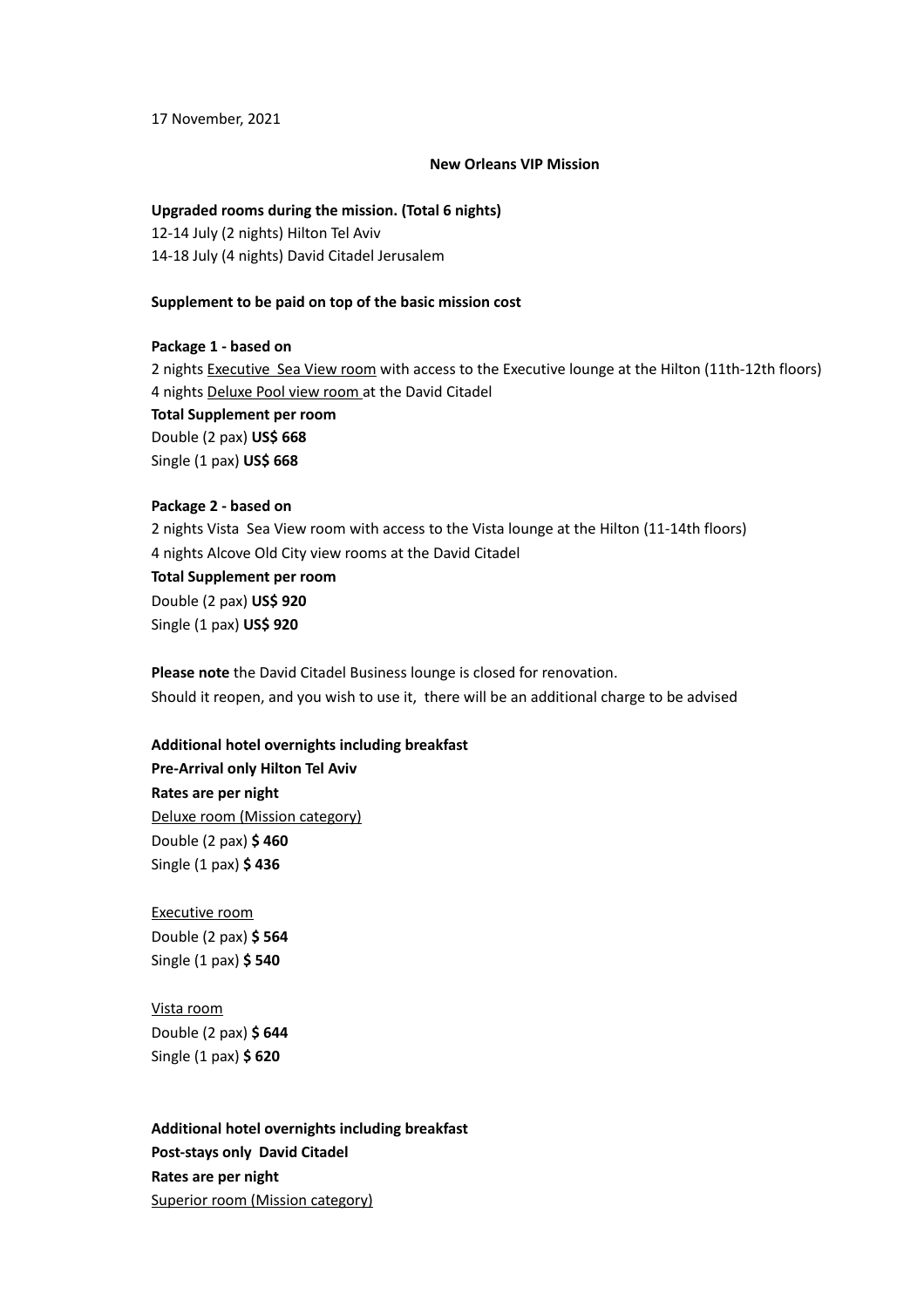17 November, 2021

#### **New Orleans VIP Mission**

### **Upgraded rooms during the mission. (Total 6 nights)**

12-14 July (2 nights) Hilton Tel Aviv 14-18 July (4 nights) David Citadel Jerusalem

### **Supplement to be paid on top of the basic mission cost**

## **Package 1 - based on**

2 nights Executive Sea View room with access to the Executive lounge at the Hilton (11th-12th floors) 4 nights Deluxe Pool view room at the David Citadel **Total Supplement per room** Double (2 pax) **US\$ 668** Single (1 pax) **US\$ 668**

# **Package 2 - based on**

2 nights Vista Sea View room with access to the Vista lounge at the Hilton (11-14th floors) 4 nights Alcove Old City view rooms at the David Citadel **Total Supplement per room**

Double (2 pax) **US\$ 920** Single (1 pax) **US\$ 920**

**Please note** the David Citadel Business lounge is closed for renovation. Should it reopen, and you wish to use it, there will be an additional charge to be advised

## **Additional hotel overnights including breakfast**

**Pre-Arrival only Hilton Tel Aviv Rates are per night** Deluxe room (Mission category) Double (2 pax) **\$ 460** Single (1 pax) **\$ 436**

Executive room Double (2 pax) **\$ 564** Single (1 pax) **\$ 540**

Vista room Double (2 pax) **\$ 644** Single (1 pax) **\$ 620**

**Additional hotel overnights including breakfast Post-stays only David Citadel Rates are per night** Superior room (Mission category)